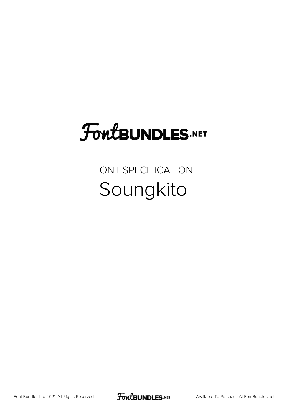## **FoutBUNDLES.NET**

#### FONT SPECIFICATION Soungkito

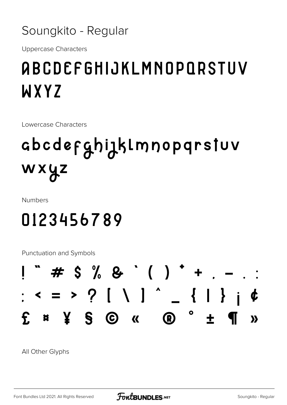#### Soungkito - Regular

**Uppercase Characters** 

### **ABCDEFGHIJKLMNOPORSTUV** WXYZ

Lowercase Characters

## abcdefghizklmnopqrstuv wxyz

**Numbers** 

#### 0123456789

**Punctuation and Symbols** 



All Other Glyphs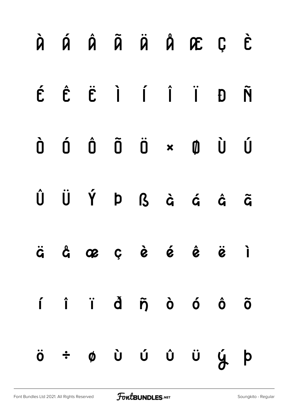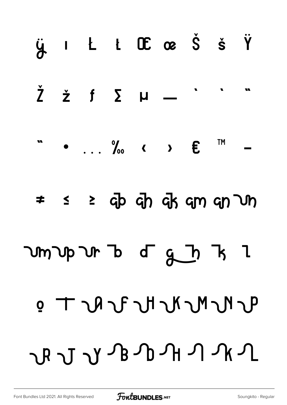# $\ddot{y}$  i  $L$  i  $C\mathbf{E}$  or  $\dot{S}$  is  $\ddot{Y}$  $\check{\mathsf{Z}}$ w  $\check{z}$  f  $\Sigma$   $\mu$   $-$ **TM**  $\bullet$  ...  $\%$  ( )  $\boldsymbol{\epsilon}$  $\leq$   $\geq$  cp cp ck cm cn  $\cup$ n  $\neq$ Um Up Ur B d G J B l  $\mathbf{u} \cdot \mathbf{u} \cdot \mathbf{v} \cdot \mathbf{v} \cdot \mathbf{v} \cdot \mathbf{v} \cdot \mathbf{v} \cdot \mathbf{v} \cdot \mathbf{v} \cdot \mathbf{v} \cdot \mathbf{v} \cdot \mathbf{v} \cdot \mathbf{v} \cdot \mathbf{v} \cdot \mathbf{v} \cdot \mathbf{v} \cdot \mathbf{v} \cdot \mathbf{v} \cdot \mathbf{v} \cdot \mathbf{v} \cdot \mathbf{v} \cdot \mathbf{v} \cdot \mathbf{v} \cdot \mathbf{v} \cdot \mathbf{v} \cdot \mathbf{v} \cdot \mathbf{v} \cdot \mathbf{$ LANGANAN